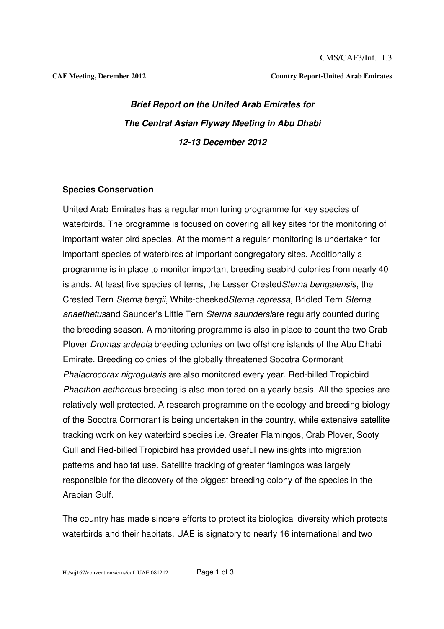CMS/CAF3/Inf.11.3

**CAF Meeting, December 2012 Country Report-United Arab Emirates** 

# **Brief Report on the United Arab Emirates for The Central Asian Flyway Meeting in Abu Dhabi 12-13 December 2012**

### **Species Conservation**

United Arab Emirates has a regular monitoring programme for key species of waterbirds. The programme is focused on covering all key sites for the monitoring of important water bird species. At the moment a regular monitoring is undertaken for important species of waterbirds at important congregatory sites. Additionally a programme is in place to monitor important breeding seabird colonies from nearly 40 islands. At least five species of terns, the Lesser CrestedSterna bengalensis, the Crested Tern Sterna bergii, White-cheekedSterna repressa, Bridled Tern Sterna anaethetusand Saunder's Little Tern Sterna saundersiare regularly counted during the breeding season. A monitoring programme is also in place to count the two Crab Plover Dromas ardeola breeding colonies on two offshore islands of the Abu Dhabi Emirate. Breeding colonies of the globally threatened Socotra Cormorant Phalacrocorax nigrogularis are also monitored every year. Red-billed Tropicbird Phaethon aethereus breeding is also monitored on a yearly basis. All the species are relatively well protected. A research programme on the ecology and breeding biology of the Socotra Cormorant is being undertaken in the country, while extensive satellite tracking work on key waterbird species i.e. Greater Flamingos, Crab Plover, Sooty Gull and Red-billed Tropicbird has provided useful new insights into migration patterns and habitat use. Satellite tracking of greater flamingos was largely responsible for the discovery of the biggest breeding colony of the species in the Arabian Gulf.

The country has made sincere efforts to protect its biological diversity which protects waterbirds and their habitats. UAE is signatory to nearly 16 international and two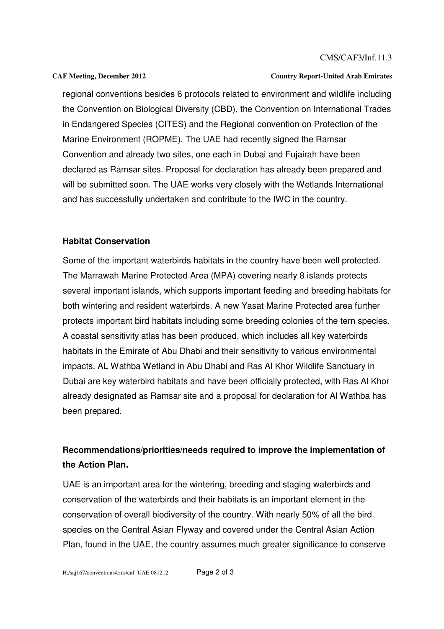#### CMS/CAF3/Inf.11.3

#### **CAF Meeting, December 2012 Country Report-United Arab Emirates**

regional conventions besides 6 protocols related to environment and wildlife including the Convention on Biological Diversity (CBD), the Convention on International Trades in Endangered Species (CITES) and the Regional convention on Protection of the Marine Environment (ROPME). The UAE had recently signed the Ramsar Convention and already two sites, one each in Dubai and Fujairah have been declared as Ramsar sites. Proposal for declaration has already been prepared and will be submitted soon. The UAE works very closely with the Wetlands International and has successfully undertaken and contribute to the IWC in the country.

### **Habitat Conservation**

Some of the important waterbirds habitats in the country have been well protected. The Marrawah Marine Protected Area (MPA) covering nearly 8 islands protects several important islands, which supports important feeding and breeding habitats for both wintering and resident waterbirds. A new Yasat Marine Protected area further protects important bird habitats including some breeding colonies of the tern species. A coastal sensitivity atlas has been produced, which includes all key waterbirds habitats in the Emirate of Abu Dhabi and their sensitivity to various environmental impacts. AL Wathba Wetland in Abu Dhabi and Ras Al Khor Wildlife Sanctuary in Dubai are key waterbird habitats and have been officially protected, with Ras Al Khor already designated as Ramsar site and a proposal for declaration for Al Wathba has been prepared.

## **Recommendations/priorities/needs required to improve the implementation of the Action Plan.**

UAE is an important area for the wintering, breeding and staging waterbirds and conservation of the waterbirds and their habitats is an important element in the conservation of overall biodiversity of the country. With nearly 50% of all the bird species on the Central Asian Flyway and covered under the Central Asian Action Plan, found in the UAE, the country assumes much greater significance to conserve